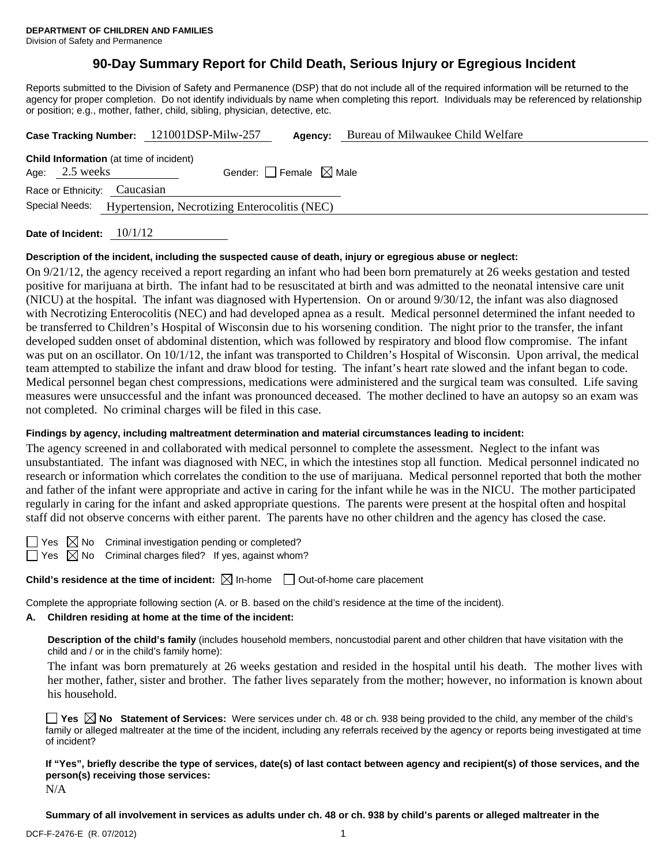# **90-Day Summary Report for Child Death, Serious Injury or Egregious Incident**

Reports submitted to the Division of Safety and Permanence (DSP) that do not include all of the required information will be returned to the agency for proper completion. Do not identify individuals by name when completing this report. Individuals may be referenced by relationship or position; e.g., mother, father, child, sibling, physician, detective, etc.

|                                                                                                       |                              |  | Case Tracking Number: 121001DSP-Milw-257 | Agency: | Bureau of Milwaukee Child Welfare |  |  |
|-------------------------------------------------------------------------------------------------------|------------------------------|--|------------------------------------------|---------|-----------------------------------|--|--|
| <b>Child Information</b> (at time of incident)<br>Gender: Female $\boxtimes$ Male<br>Age: $2.5$ weeks |                              |  |                                          |         |                                   |  |  |
|                                                                                                       | Race or Ethnicity: Caucasian |  |                                          |         |                                   |  |  |
| Special Needs: Hypertension, Necrotizing Enterocolitis (NEC)                                          |                              |  |                                          |         |                                   |  |  |
|                                                                                                       |                              |  |                                          |         |                                   |  |  |

**Date of Incident:** 10/1/12

## **Description of the incident, including the suspected cause of death, injury or egregious abuse or neglect:**

On 9/21/12, the agency received a report regarding an infant who had been born prematurely at 26 weeks gestation and tested positive for marijuana at birth. The infant had to be resuscitated at birth and was admitted to the neonatal intensive care unit (NICU) at the hospital. The infant was diagnosed with Hypertension. On or around 9/30/12, the infant was also diagnosed with Necrotizing Enterocolitis (NEC) and had developed apnea as a result. Medical personnel determined the infant needed to be transferred to Children's Hospital of Wisconsin due to his worsening condition. The night prior to the transfer, the infant developed sudden onset of abdominal distention, which was followed by respiratory and blood flow compromise. The infant was put on an oscillator. On 10/1/12, the infant was transported to Children's Hospital of Wisconsin. Upon arrival, the medical team attempted to stabilize the infant and draw blood for testing. The infant's heart rate slowed and the infant began to code. Medical personnel began chest compressions, medications were administered and the surgical team was consulted. Life saving measures were unsuccessful and the infant was pronounced deceased. The mother declined to have an autopsy so an exam was not completed. No criminal charges will be filed in this case.

## **Findings by agency, including maltreatment determination and material circumstances leading to incident:**

The agency screened in and collaborated with medical personnel to complete the assessment. Neglect to the infant was unsubstantiated. The infant was diagnosed with NEC, in which the intestines stop all function. Medical personnel indicated no research or information which correlates the condition to the use of marijuana. Medical personnel reported that both the mother and father of the infant were appropriate and active in caring for the infant while he was in the NICU. The mother participated regularly in caring for the infant and asked appropriate questions. The parents were present at the hospital often and hospital staff did not observe concerns with either parent. The parents have no other children and the agency has closed the case.

 $\Box$  Yes  $\boxtimes$  No Criminal investigation pending or completed?

 $\Box$  Yes  $\boxtimes$  No Criminal charges filed? If yes, against whom?

**Child's residence at the time of incident:**  $\boxtimes$  In-home  $\Box$  Out-of-home care placement

Complete the appropriate following section (A. or B. based on the child's residence at the time of the incident).

## **A. Children residing at home at the time of the incident:**

**Description of the child's family** (includes household members, noncustodial parent and other children that have visitation with the child and / or in the child's family home):

The infant was born prematurely at 26 weeks gestation and resided in the hospital until his death. The mother lives with her mother, father, sister and brother. The father lives separately from the mother; however, no information is known about his household.

**Yes No Statement of Services:** Were services under ch. 48 or ch. 938 being provided to the child, any member of the child's family or alleged maltreater at the time of the incident, including any referrals received by the agency or reports being investigated at time of incident?

**If "Yes", briefly describe the type of services, date(s) of last contact between agency and recipient(s) of those services, and the person(s) receiving those services:** 

N/A

**Summary of all involvement in services as adults under ch. 48 or ch. 938 by child's parents or alleged maltreater in the**